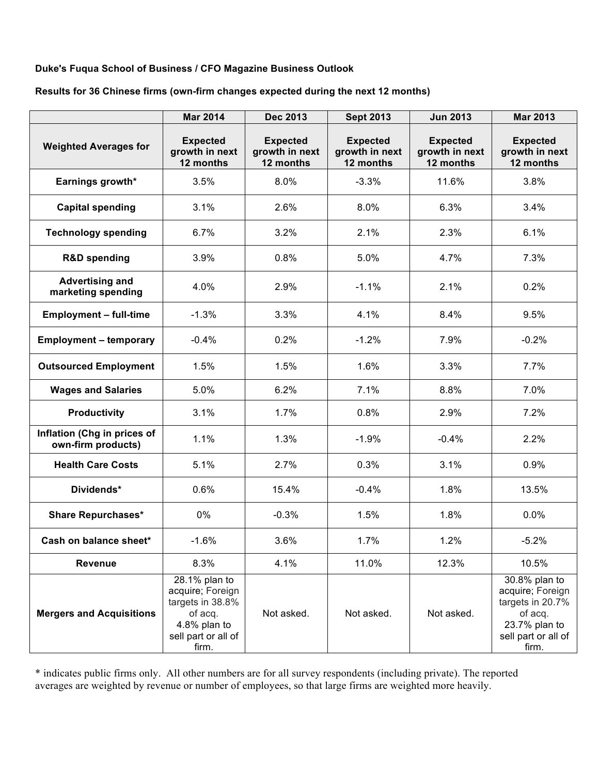### **Duke's Fuqua School of Business / CFO Magazine Business Outlook**

**Results for 36 Chinese firms (own-firm changes expected during the next 12 months)**

|                                                   | <b>Mar 2014</b>                                                                                                  | <b>Dec 2013</b>                                | <b>Sept 2013</b>                               | <b>Jun 2013</b>                                | <b>Mar 2013</b>                                                                                                   |
|---------------------------------------------------|------------------------------------------------------------------------------------------------------------------|------------------------------------------------|------------------------------------------------|------------------------------------------------|-------------------------------------------------------------------------------------------------------------------|
| <b>Weighted Averages for</b>                      | <b>Expected</b><br>growth in next<br>12 months                                                                   | <b>Expected</b><br>growth in next<br>12 months | <b>Expected</b><br>growth in next<br>12 months | <b>Expected</b><br>growth in next<br>12 months | <b>Expected</b><br>growth in next<br>12 months                                                                    |
| Earnings growth*                                  | 3.5%                                                                                                             | 8.0%                                           | $-3.3%$                                        | 11.6%                                          | 3.8%                                                                                                              |
| <b>Capital spending</b>                           | 3.1%                                                                                                             | 2.6%                                           | 8.0%                                           | 6.3%                                           | 3.4%                                                                                                              |
| <b>Technology spending</b>                        | 6.7%                                                                                                             | 3.2%                                           | 2.1%                                           | 2.3%                                           | 6.1%                                                                                                              |
| <b>R&amp;D spending</b>                           | 3.9%                                                                                                             | 0.8%                                           | 5.0%                                           | 4.7%                                           | 7.3%                                                                                                              |
| <b>Advertising and</b><br>marketing spending      | 4.0%                                                                                                             | 2.9%                                           | $-1.1%$                                        | 2.1%                                           | 0.2%                                                                                                              |
| <b>Employment - full-time</b>                     | $-1.3%$                                                                                                          | 3.3%                                           | 4.1%                                           | 8.4%                                           | 9.5%                                                                                                              |
| <b>Employment - temporary</b>                     | $-0.4%$                                                                                                          | 0.2%                                           | $-1.2%$                                        | 7.9%                                           | $-0.2%$                                                                                                           |
| <b>Outsourced Employment</b>                      | 1.5%                                                                                                             | 1.5%                                           | 1.6%                                           | 3.3%                                           | 7.7%                                                                                                              |
| <b>Wages and Salaries</b>                         | 5.0%                                                                                                             | 6.2%                                           | 7.1%                                           | 8.8%                                           | 7.0%                                                                                                              |
| <b>Productivity</b>                               | 3.1%                                                                                                             | 1.7%                                           | 0.8%                                           | 2.9%                                           | 7.2%                                                                                                              |
| Inflation (Chg in prices of<br>own-firm products) | 1.1%                                                                                                             | 1.3%                                           | $-1.9%$                                        | $-0.4%$                                        | 2.2%                                                                                                              |
| <b>Health Care Costs</b>                          | 5.1%                                                                                                             | 2.7%                                           | 0.3%                                           | 3.1%                                           | 0.9%                                                                                                              |
| Dividends*                                        | 0.6%                                                                                                             | 15.4%                                          | $-0.4%$                                        | 1.8%                                           | 13.5%                                                                                                             |
| <b>Share Repurchases*</b>                         | 0%                                                                                                               | $-0.3%$                                        | 1.5%                                           | 1.8%                                           | 0.0%                                                                                                              |
| Cash on balance sheet*                            | $-1.6%$                                                                                                          | 3.6%                                           | 1.7%                                           | 1.2%                                           | $-5.2%$                                                                                                           |
| Revenue                                           | 8.3%                                                                                                             | 4.1%                                           | 11.0%                                          | 12.3%                                          | 10.5%                                                                                                             |
| <b>Mergers and Acquisitions</b>                   | 28.1% plan to<br>acquire; Foreign<br>targets in 38.8%<br>of acq.<br>4.8% plan to<br>sell part or all of<br>firm. | Not asked.                                     | Not asked.                                     | Not asked.                                     | 30.8% plan to<br>acquire; Foreign<br>targets in 20.7%<br>of acq.<br>23.7% plan to<br>sell part or all of<br>firm. |

\* indicates public firms only. All other numbers are for all survey respondents (including private). The reported averages are weighted by revenue or number of employees, so that large firms are weighted more heavily.